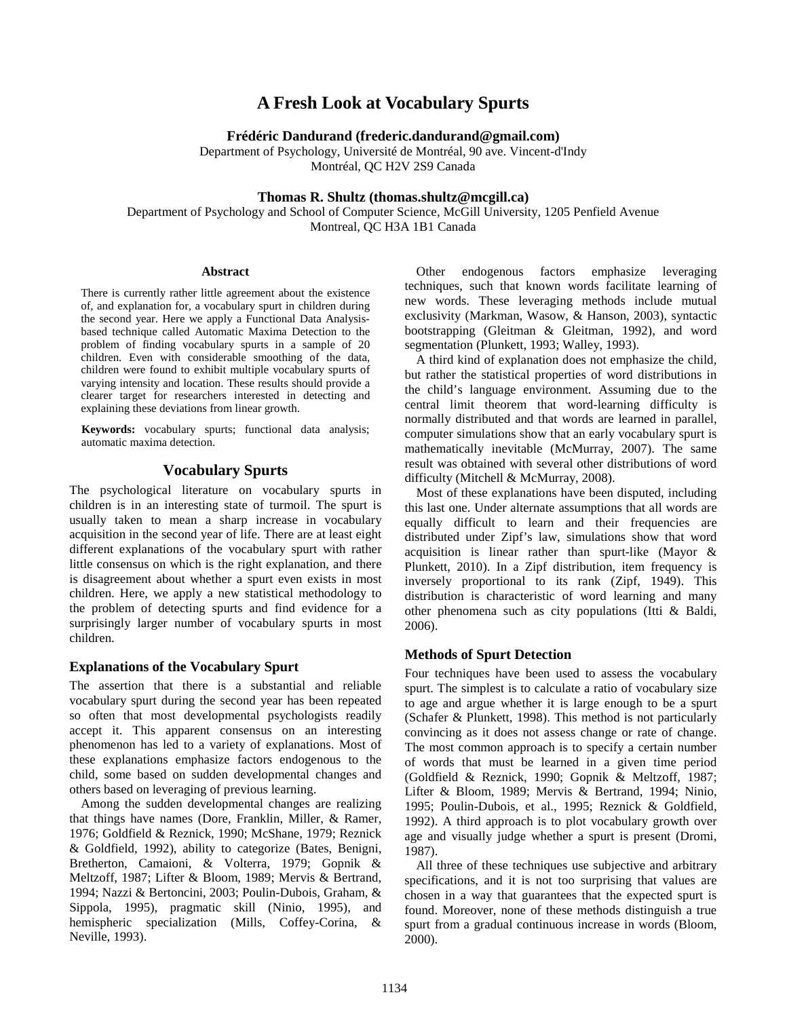# **A Fresh Look at Vocabulary Spurts**

**Frédéric Dandurand (frederic.dandurand@gmail.com)**

Department of Psychology, Université de Montréal, 90 ave. Vincent-d'Indy Montréal, QC H2V 2S9 Canada

# **Thomas R. Shultz (thomas.shultz@mcgill.ca)**

Department of Psychology and School of Computer Science, McGill University, 1205 Penfield Avenue Montreal, QC H3A 1B1 Canada

#### **Abstract**

There is currently rather little agreement about the existence of, and explanation for, a vocabulary spurt in children during the second year. Here we apply a Functional Data Analysisbased technique called Automatic Maxima Detection to the problem of finding vocabulary spurts in a sample of 20 children. Even with considerable smoothing of the data, children were found to exhibit multiple vocabulary spurts of varying intensity and location. These results should provide a clearer target for researchers interested in detecting and explaining these deviations from linear growth.

**Keywords:** vocabulary spurts; functional data analysis; automatic maxima detection.

## **Vocabulary Spurts**

The psychological literature on vocabulary spurts in children is in an interesting state of turmoil. The spurt is usually taken to mean a sharp increase in vocabulary acquisition in the second year of life. There are at least eight different explanations of the vocabulary spurt with rather little consensus on which is the right explanation, and there is disagreement about whether a spurt even exists in most children. Here, we apply a new statistical methodology to the problem of detecting spurts and find evidence for a surprisingly larger number of vocabulary spurts in most children.

#### **Explanations of the Vocabulary Spurt**

The assertion that there is a substantial and reliable vocabulary spurt during the second year has been repeated so often that most developmental psychologists readily accept it. This apparent consensus on an interesting phenomenon has led to a variety of explanations. Most of these explanations emphasize factors endogenous to the child, some based on sudden developmental changes and others based on leveraging of previous learning.

Among the sudden developmental changes are realizing that things have names [\(Dore, Franklin, Miller, & Ramer,](#page-4-0)  [1976;](#page-4-0) [Goldfield & Reznick, 1990;](#page-5-0) [McShane, 1979;](#page-5-1) [Reznick](#page-5-2)  [& Goldfield, 1992\)](#page-5-2), ability to categorize [\(Bates, Benigni,](#page-4-1)  [Bretherton, Camaioni, & Volterra, 1979;](#page-4-1) [Gopnik &](#page-5-3)  [Meltzoff, 1987;](#page-5-3) [Lifter & Bloom, 1989;](#page-5-4) [Mervis & Bertrand,](#page-5-5)  [1994;](#page-5-5) [Nazzi & Bertoncini, 2003;](#page-5-6) [Poulin-Dubois, Graham, &](#page-5-7)  [Sippola, 1995\)](#page-5-7), pragmatic skill [\(Ninio, 1995\)](#page-5-8), and hemispheric specialization [\(Mills, Coffey-Corina, &](#page-5-9)  [Neville, 1993\)](#page-5-9).

Other endogenous factors emphasize leveraging techniques, such that known words facilitate learning of new words. These leveraging methods include mutual exclusivity [\(Markman, Wasow, & Hanson, 2003\)](#page-5-10), syntactic bootstrapping (Gleitman & Gleitman, 1992), and word segmentation [\(Plunkett, 1993;](#page-5-11) [Walley, 1993\)](#page-5-12).

A third kind of explanation does not emphasize the child, but rather the statistical properties of word distributions in the child's language environment. Assuming due to the central limit theorem that word-learning difficulty is normally distributed and that words are learned in parallel, computer simulations show that an early vocabulary spurt is mathematically inevitable [\(McMurray, 2007\)](#page-5-13). The same result was obtained with several other distributions of word difficulty [\(Mitchell & McMurray, 2008\)](#page-5-14).

Most of these explanations have been disputed, including this last one. Under alternate assumptions that all words are equally difficult to learn and their frequencies are distributed under Zipf's law, simulations show that word acquisition is linear rather than spurt-like [\(Mayor &](#page-5-15)  [Plunkett, 2010\)](#page-5-15). In a Zipf distribution, item frequency is inversely proportional to its rank [\(Zipf, 1949\)](#page-5-16). This distribution is characteristic of word learning and many other phenomena such as city populations [\(Itti & Baldi,](#page-5-17)  [2006\)](#page-5-17).

## **Methods of Spurt Detection**

Four techniques have been used to assess the vocabulary spurt. The simplest is to calculate a ratio of vocabulary size to age and argue whether it is large enough to be a spurt [\(Schafer & Plunkett, 1998\)](#page-5-18). This method is not particularly convincing as it does not assess change or rate of change. The most common approach is to specify a certain number of words that must be learned in a given time period [\(Goldfield & Reznick, 1990;](#page-5-0) [Gopnik & Meltzoff, 1987;](#page-5-3) [Lifter & Bloom, 1989;](#page-5-4) [Mervis & Bertrand, 1994;](#page-5-5) [Ninio,](#page-5-8)  [1995;](#page-5-8) [Poulin-Dubois, et al., 1995;](#page-5-7) [Reznick & Goldfield,](#page-5-2)  [1992\)](#page-5-2). A third approach is to plot vocabulary growth over age and visually judge whether a spurt is present [\(Dromi,](#page-4-2)  [1987\)](#page-4-2).

All three of these techniques use subjective and arbitrary specifications, and it is not too surprising that values are chosen in a way that guarantees that the expected spurt is found. Moreover, none of these methods distinguish a true spurt from a gradual continuous increase in words [\(Bloom,](#page-4-3)  [2000\)](#page-4-3).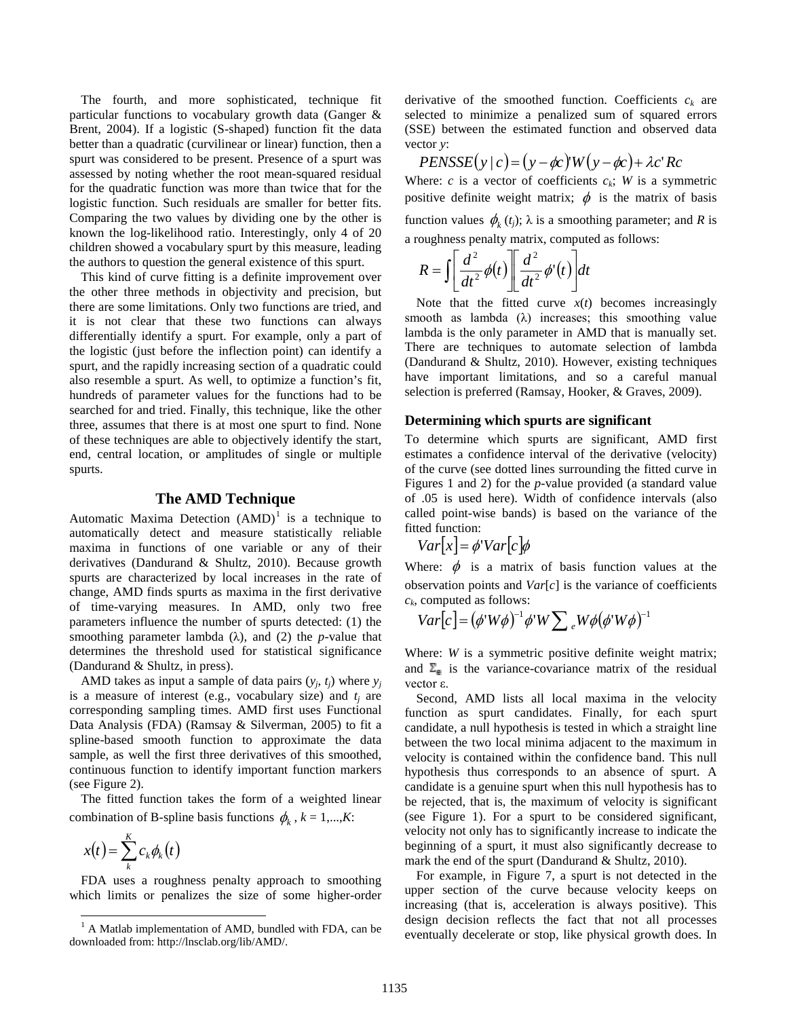The fourth, and more sophisticated, technique fit particular functions to vocabulary growth data [\(Ganger &](#page-4-4)  [Brent, 2004\)](#page-4-4). If a logistic (S-shaped) function fit the data better than a quadratic (curvilinear or linear) function, then a spurt was considered to be present. Presence of a spurt was assessed by noting whether the root mean-squared residual for the quadratic function was more than twice that for the logistic function. Such residuals are smaller for better fits. Comparing the two values by dividing one by the other is known the log-likelihood ratio. Interestingly, only 4 of 20 children showed a vocabulary spurt by this measure, leading the authors to question the general existence of this spurt.

This kind of curve fitting is a definite improvement over the other three methods in objectivity and precision, but there are some limitations. Only two functions are tried, and it is not clear that these two functions can always differentially identify a spurt. For example, only a part of the logistic (just before the inflection point) can identify a spurt, and the rapidly increasing section of a quadratic could also resemble a spurt. As well, to optimize a function's fit, hundreds of parameter values for the functions had to be searched for and tried. Finally, this technique, like the other three, assumes that there is at most one spurt to find. None of these techniques are able to objectively identify the start, end, central location, or amplitudes of single or multiple spurts.

# **The AMD Technique**

Automatic Maxima Detection  $(AMD)^1$  $(AMD)^1$  is a technique to derivatives ([Dandurand & Shultz, 2010](#page-4-5)). Because growth automatically detect and measure statistically reliable maxima in functions of one variable or any of their spurts are characterized by local increases in the rate of change, AMD finds spurts as maxima in the first derivative of time-varying measures. In AMD, only two free parameters influence the number of spurts detected: (1) the smoothing parameter lambda  $(\lambda)$ , and  $(2)$  the *p*-value that determines the threshold used for statistical significance [\(Dandurand & Shultz, in press\)](#page-4-6).

AMD takes as input a sample of data pairs  $(y_i, t_i)$  where  $y_i$ is a measure of interest (e.g., vocabulary size) and  $t_i$  are corresponding sampling times. AMD first uses Functional Data Analysis (FDA) [\(Ramsay & Silverman, 2005\)](#page-5-19) to fit a spline-based smooth function to approximate the data sample, as well the first three derivatives of this smoothed, continuous function to identify important function markers (see Figure 2).

The fitted function takes the form of a weighted linear combination of B-spline basis functions  $\phi_k$ ,  $k = 1,...,K$ :

$$
x(t) = \sum_{k}^{K} c_k \phi_k(t)
$$

FDA uses a roughness penalty approach to smoothing which limits or penalizes the size of some higher-order derivative of the smoothed function. Coefficients  $c_k$  are selected to minimize a penalized sum of squared errors (SSE) between the estimated function and observed data vector *y*:

$$
PENSSE(y \mid c) = (y - \phi c)W(y - \phi c) + \lambda c' Rc
$$

Where: *c* is a vector of coefficients  $c_k$ ; *W* is a symmetric positive definite weight matrix;  $\phi$  is the matrix of basis function values  $\phi_k(t_i)$ ;  $\lambda$  is a smoothing parameter; and *R* is a roughness penalty matrix, computed as follows:

$$
R = \int \left[ \frac{d^2}{dt^2} \phi(t) \right] \left[ \frac{d^2}{dt^2} \phi'(t) \right] dt
$$

Note that the fitted curve  $x(t)$  becomes increasingly smooth as lambda  $(\lambda)$  increases; this smoothing value lambda is the only parameter in AMD that is manually set. There are techniques to automate selection of lambda [\(Dandurand & Shultz, 2010\)](#page-4-5). However, existing techniques have important limitations, and so a careful manual selection is preferred [\(Ramsay, Hooker, & Graves, 2009\)](#page-5-20).

#### **Determining which spurts are significant**

To determine which spurts are significant, AMD first estimates a confidence interval of the derivative (velocity) of the curve (see dotted lines surrounding the fitted curve in Figures 1 and 2) for the *p*-value provided (a standard value of .05 is used here). Width of confidence intervals (also called point-wise bands) is based on the variance of the fitted function:

$$
Var[x] = \phi Var[c]\phi
$$

Where:  $\phi$  is a matrix of basis function values at the observation points and *Var*[*c*] is the variance of coefficients *ck*, computed as follows:

$$
Var[c] = (\phi^{\prime} W \phi)^{-1} \phi^{\prime} W \sum e^{\mu} W \phi (\phi^{\prime} W \phi)^{-1}
$$

Where: *W* is a symmetric positive definite weight matrix; and  $\overline{\Sigma}_{\text{H}}$  is the variance-covariance matrix of the residual vector ε.

Second, AMD lists all local maxima in the velocity function as spurt candidates. Finally, for each spurt candidate, a null hypothesis is tested in which a straight line between the two local minima adjacent to the maximum in velocity is contained within the confidence band. This null hypothesis thus corresponds to an absence of spurt. A candidate is a genuine spurt when this null hypothesis has to be rejected, that is, the maximum of velocity is significant (see Figure 1). For a spurt to be considered significant, velocity not only has to significantly increase to indicate the beginning of a spurt, it must also significantly decrease to mark the end of the spurt [\(Dandurand & Shultz, 2010\)](#page-4-5).

For example, in Figure 7, a spurt is not detected in the upper section of the curve because velocity keeps on increasing (that is, acceleration is always positive). This design decision reflects the fact that not all processes eventually decelerate or stop, like physical growth does. In

<span id="page-1-0"></span> $<sup>1</sup>$  A Matlab implementation of AMD, bundled with FDA, can be</sup> downloaded from: http://lnsclab.org/lib/AMD/.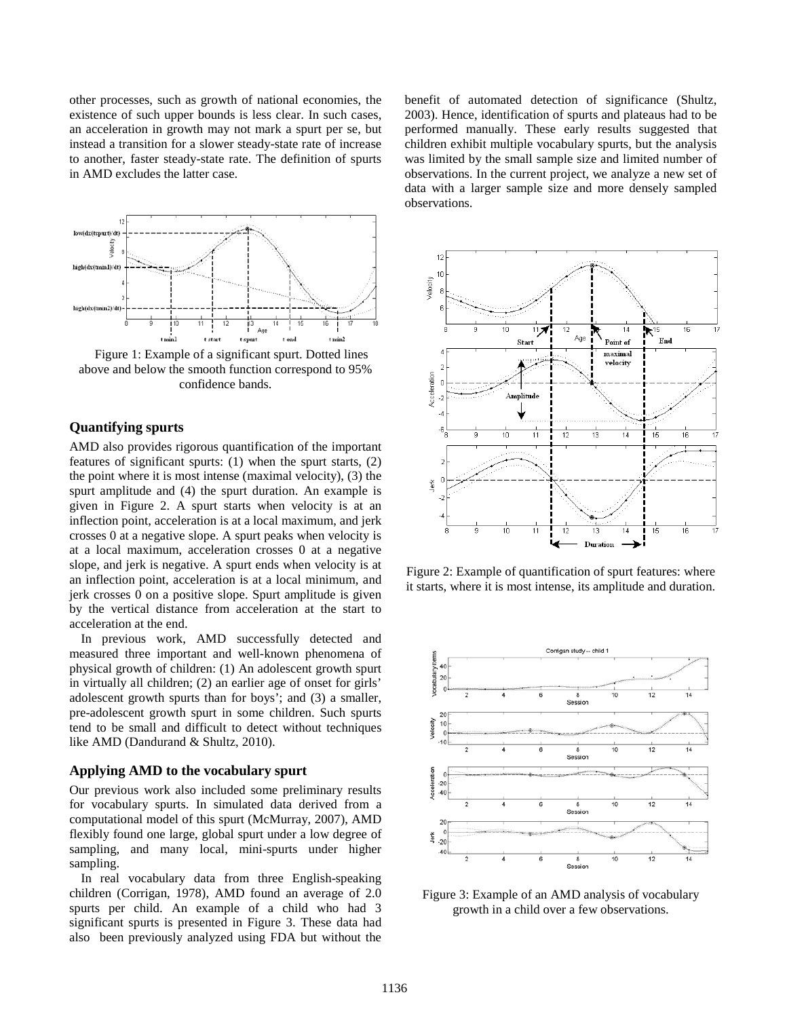other processes, such as growth of national economies, the existence of such upper bounds is less clear. In such cases, an acceleration in growth may not mark a spurt per se, but instead a transition for a slower steady-state rate of increase to another, faster steady-state rate. The definition of spurts in AMD excludes the latter case.



Figure 1: Example of a significant spurt. Dotted lines above and below the smooth function correspond to 95% confidence bands.

## **Quantifying spurts**

AMD also provides rigorous quantification of the important features of significant spurts: (1) when the spurt starts, (2) the point where it is most intense (maximal velocity), (3) the spurt amplitude and (4) the spurt duration. An example is given in Figure 2. A spurt starts when velocity is at an inflection point, acceleration is at a local maximum, and jerk crosses 0 at a negative slope. A spurt peaks when velocity is at a local maximum, acceleration crosses 0 at a negative slope, and jerk is negative. A spurt ends when velocity is at an inflection point, acceleration is at a local minimum, and jerk crosses 0 on a positive slope. Spurt amplitude is given by the vertical distance from acceleration at the start to acceleration at the end.

In previous work, AMD successfully detected and measured three important and well-known phenomena of physical growth of children: (1) An adolescent growth spurt in virtually all children; (2) an earlier age of onset for girls' adolescent growth spurts than for boys'; and (3) a smaller, pre-adolescent growth spurt in some children. Such spurts tend to be small and difficult to detect without techniques like AMD [\(Dandurand & Shultz, 2010\)](#page-4-5).

## **Applying AMD to the vocabulary spurt**

Our previous work also included some preliminary results for vocabulary spurts. In simulated data derived from a computational model of this spurt [\(McMurray, 2007\)](#page-5-13), AMD flexibly found one large, global spurt under a low degree of sampling, and many local, mini-spurts under higher sampling.

In real vocabulary data from three English-speaking children [\(Corrigan, 1978\)](#page-4-7), AMD found an average of 2.0 spurts per child. An example of a child who had 3 significant spurts is presented in Figure 3. These data had also been previously analyzed using FDA but without the benefit of automated detection of significance [\(Shultz,](#page-5-21)  [2003\)](#page-5-21). Hence, identification of spurts and plateaus had to be performed manually. These early results suggested that children exhibit multiple vocabulary spurts, but the analysis was limited by the small sample size and limited number of observations. In the current project, we analyze a new set of data with a larger sample size and more densely sampled observations.



Figure 2: Example of quantification of spurt features: where it starts, where it is most intense, its amplitude and duration.



Figure 3: Example of an AMD analysis of vocabulary growth in a child over a few observations.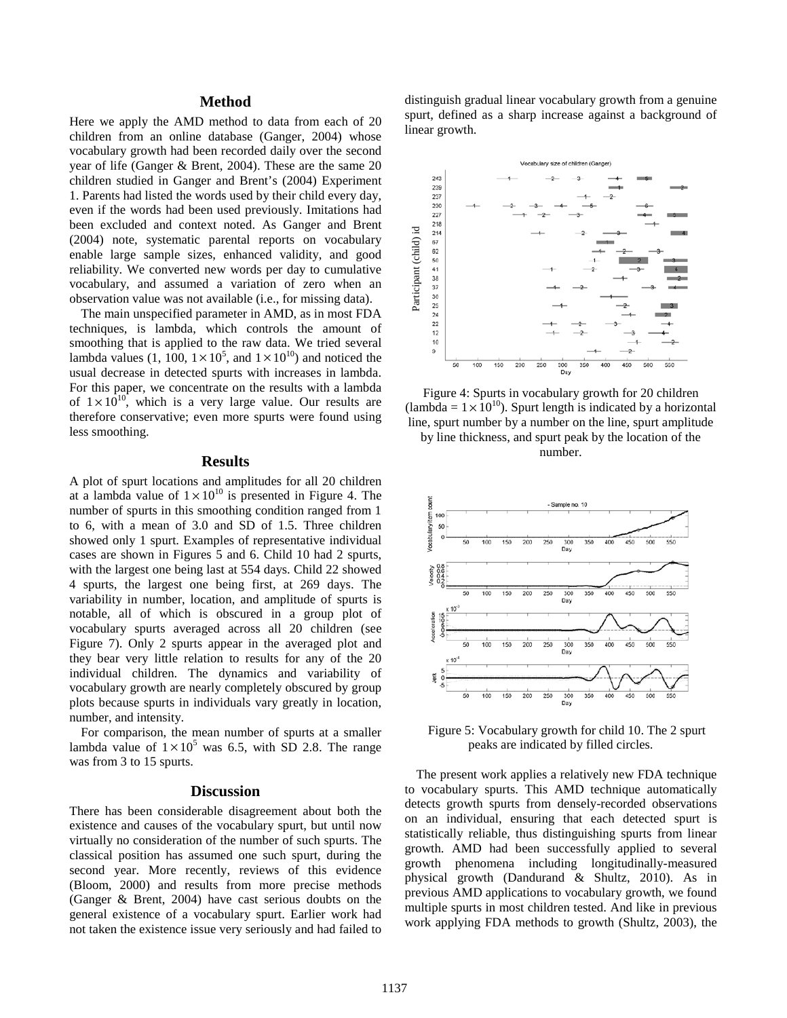#### **Method**

Here we apply the AMD method to data from each of 20 children from an online database [\(Ganger, 2004\)](#page-4-8) whose vocabulary growth had been recorded daily over the second year of life [\(Ganger & Brent, 2004\)](#page-4-4). These are the same 20 children studied in Ganger and Brent's [\(2004\)](#page-4-4) Experiment 1. Parents had listed the words used by their child every day, even if the words had been used previously. Imitations had been excluded and context noted. As Ganger and Brent [\(2004\)](#page-4-4) note, systematic parental reports on vocabulary enable large sample sizes, enhanced validity, and good reliability. We converted new words per day to cumulative vocabulary, and assumed a variation of zero when an observation value was not available (i.e., for missing data).

The main unspecified parameter in AMD, as in most FDA techniques, is lambda, which controls the amount of smoothing that is applied to the raw data. We tried several lambda values (1, 100,  $1 \times 10^5$ , and  $1 \times 10^{10}$ ) and noticed the usual decrease in detected spurts with increases in lambda. For this paper, we concentrate on the results with a lambda of  $1 \times 10^{10}$ , which is a very large value. Our results are therefore conservative; even more spurts were found using less smoothing.

#### **Results**

A plot of spurt locations and amplitudes for all 20 children at a lambda value of  $1 \times 10^{10}$  is presented in Figure 4. The number of spurts in this smoothing condition ranged from 1 to 6, with a mean of 3.0 and SD of 1.5. Three children showed only 1 spurt. Examples of representative individual cases are shown in Figures 5 and 6. Child 10 had 2 spurts, with the largest one being last at 554 days. Child 22 showed 4 spurts, the largest one being first, at 269 days. The variability in number, location, and amplitude of spurts is notable, all of which is obscured in a group plot of vocabulary spurts averaged across all 20 children (see Figure 7). Only 2 spurts appear in the averaged plot and they bear very little relation to results for any of the 20 individual children. The dynamics and variability of vocabulary growth are nearly completely obscured by group plots because spurts in individuals vary greatly in location, number, and intensity.

For comparison, the mean number of spurts at a smaller lambda value of  $1 \times 10^5$  was 6.5, with SD 2.8. The range was from 3 to 15 spurts.

# **Discussion**

There has been considerable disagreement about both the existence and causes of the vocabulary spurt, but until now virtually no consideration of the number of such spurts. The classical position has assumed one such spurt, during the second year. More recently, reviews of this evidence [\(Bloom, 2000\)](#page-4-3) and results from more precise methods [\(Ganger & Brent, 2004\)](#page-4-4) have cast serious doubts on the general existence of a vocabulary spurt. Earlier work had not taken the existence issue very seriously and had failed to distinguish gradual linear vocabulary growth from a genuine spurt, defined as a sharp increase against a background of linear growth.



Figure 4: Spurts in vocabulary growth for 20 children (lambda =  $1 \times 10^{10}$ ). Spurt length is indicated by a horizontal line, spurt number by a number on the line, spurt amplitude by line thickness, and spurt peak by the location of the





Figure 5: Vocabulary growth for child 10. The 2 spurt peaks are indicated by filled circles.

The present work applies a relatively new FDA technique to vocabulary spurts. This AMD technique automatically detects growth spurts from densely-recorded observations on an individual, ensuring that each detected spurt is statistically reliable, thus distinguishing spurts from linear growth. AMD had been successfully applied to several growth phenomena including longitudinally-measured physical growth [\(Dandurand & Shultz, 2010\)](#page-4-5). As in previous AMD applications to vocabulary growth, we found multiple spurts in most children tested. And like in previous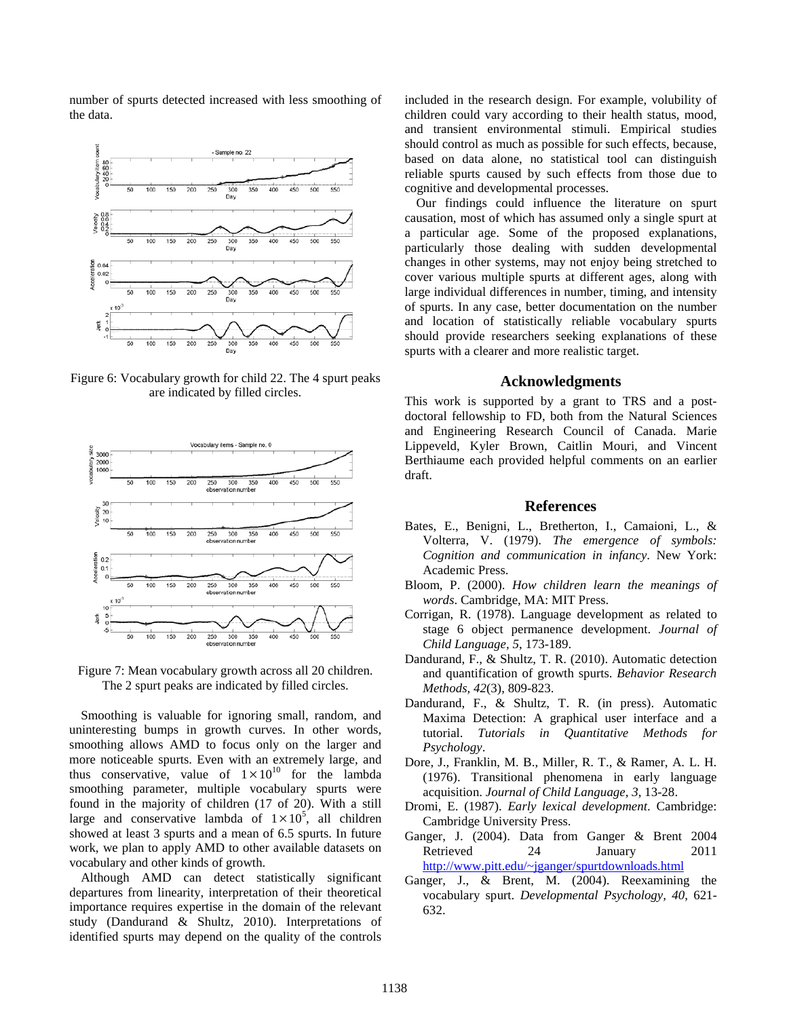number of spurts detected increased with less smoothing of the data.



Figure 6: Vocabulary growth for child 22. The 4 spurt peaks are indicated by filled circles.





Smoothing is valuable for ignoring small, random, and uninteresting bumps in growth curves. In other words, smoothing allows AMD to focus only on the larger and more noticeable spurts. Even with an extremely large, and thus conservative, value of  $1 \times 10^{10}$  for the lambda smoothing parameter, multiple vocabulary spurts were found in the majority of children (17 of 20). With a still large and conservative lambda of  $1 \times 10^5$ , all children showed at least 3 spurts and a mean of 6.5 spurts. In future work, we plan to apply AMD to other available datasets on vocabulary and other kinds of growth.

Although AMD can detect statistically significant departures from linearity, interpretation of their theoretical importance requires expertise in the domain of the relevant study [\(Dandurand & Shultz, 2010\)](#page-4-5). Interpretations of identified spurts may depend on the quality of the controls included in the research design. For example, volubility of children could vary according to their health status, mood, and transient environmental stimuli. Empirical studies should control as much as possible for such effects, because, based on data alone, no statistical tool can distinguish reliable spurts caused by such effects from those due to cognitive and developmental processes.

Our findings could influence the literature on spurt causation, most of which has assumed only a single spurt at a particular age. Some of the proposed explanations, particularly those dealing with sudden developmental changes in other systems, may not enjoy being stretched to cover various multiple spurts at different ages, along with large individual differences in number, timing, and intensity of spurts. In any case, better documentation on the number and location of statistically reliable vocabulary spurts should provide researchers seeking explanations of these spurts with a clearer and more realistic target.

## **Acknowledgments**

This work is supported by a grant to TRS and a postdoctoral fellowship to FD, both from the Natural Sciences and Engineering Research Council of Canada. Marie Lippeveld, Kyler Brown, Caitlin Mouri, and Vincent Berthiaume each provided helpful comments on an earlier draft.

#### **References**

- <span id="page-4-1"></span>Bates, E., Benigni, L., Bretherton, I., Camaioni, L., & Volterra, V. (1979). *The emergence of symbols: Cognition and communication in infancy*. New York: Academic Press.
- <span id="page-4-3"></span>Bloom, P. (2000). *How children learn the meanings of words*. Cambridge, MA: MIT Press.
- <span id="page-4-7"></span>Corrigan, R. (1978). Language development as related to stage 6 object permanence development. *Journal of Child Language, 5*, 173-189.
- <span id="page-4-5"></span>Dandurand, F., & Shultz, T. R. (2010). Automatic detection and quantification of growth spurts. *Behavior Research Methods, 42*(3), 809-823.
- <span id="page-4-6"></span>Dandurand, F., & Shultz, T. R. (in press). Automatic Maxima Detection: A graphical user interface and a tutorial. *Tutorials in Quantitative Methods for Psychology*.
- <span id="page-4-0"></span>Dore, J., Franklin, M. B., Miller, R. T., & Ramer, A. L. H. (1976). Transitional phenomena in early language acquisition. *Journal of Child Language, 3*, 13-28.
- <span id="page-4-2"></span>Dromi, E. (1987). *Early lexical development*. Cambridge: Cambridge University Press.
- <span id="page-4-8"></span>Ganger, J. (2004). Data from Ganger & Brent 2004 Retrieved 24 January 2011 <http://www.pitt.edu/~jganger/spurtdownloads.html>
- <span id="page-4-4"></span>Ganger, J., & Brent, M. (2004). Reexamining the vocabulary spurt. *Developmental Psychology, 40*, 621- 632.